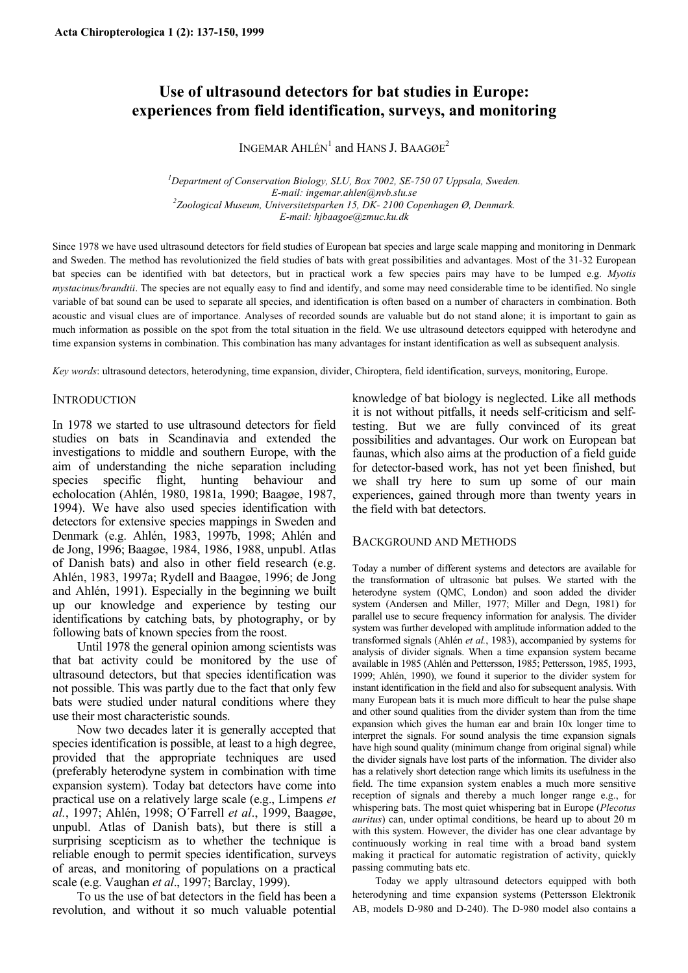# **Use of ultrasound detectors for bat studies in Europe: experiences from field identification, surveys, and monitoring**

INGEMAR AHLÉN<sup>1</sup> and HANS J. BAAGØE<sup>2</sup>

<sup>1</sup>Department of Conservation Biology, SLU, Box 7002, SE-750 07 Uppsala, Sweden. *E-mail: ingemar.ahlen@nvb.slu.se 2 Zoological Museum, Universitetsparken 15, DK- 2100 Copenhagen Ø, Denmark. E-mail: hjbaagoe@zmuc.ku.dk* 

Since 1978 we have used ultrasound detectors for field studies of European bat species and large scale mapping and monitoring in Denmark and Sweden. The method has revolutionized the field studies of bats with great possibilities and advantages. Most of the 31-32 European bat species can be identified with bat detectors, but in practical work a few species pairs may have to be lumped e.g. *Myotis mystacinus/brandtii*. The species are not equally easy to find and identify, and some may need considerable time to be identified. No single variable of bat sound can be used to separate all species, and identification is often based on a number of characters in combination. Both acoustic and visual clues are of importance. Analyses of recorded sounds are valuable but do not stand alone; it is important to gain as much information as possible on the spot from the total situation in the field. We use ultrasound detectors equipped with heterodyne and time expansion systems in combination. This combination has many advantages for instant identification as well as subsequent analysis.

*Key words*: ultrasound detectors, heterodyning, time expansion, divider, Chiroptera, field identification, surveys, monitoring, Europe.

#### **INTRODUCTION**

In 1978 we started to use ultrasound detectors for field studies on bats in Scandinavia and extended the investigations to middle and southern Europe, with the aim of understanding the niche separation including species specific flight, hunting behaviour and echolocation (Ahlén, 1980, 1981a, 1990; Baagøe, 1987, 1994). We have also used species identification with detectors for extensive species mappings in Sweden and Denmark (e.g. Ahlén, 1983, 1997b, 1998; Ahlén and de Jong, 1996; Baagøe, 1984, 1986, 1988, unpubl. Atlas of Danish bats) and also in other field research (e.g. Ahlén, 1983, 1997a; Rydell and Baagøe, 1996; de Jong and Ahlén, 1991). Especially in the beginning we built up our knowledge and experience by testing our identifications by catching bats, by photography, or by following bats of known species from the roost.

Until 1978 the general opinion among scientists was that bat activity could be monitored by the use of ultrasound detectors, but that species identification was not possible. This was partly due to the fact that only few bats were studied under natural conditions where they use their most characteristic sounds.

Now two decades later it is generally accepted that species identification is possible, at least to a high degree, provided that the appropriate techniques are used (preferably heterodyne system in combination with time expansion system). Today bat detectors have come into practical use on a relatively large scale (e.g., Limpens *et al.*, 1997; Ahlén, 1998; O´Farrell *et al*., 1999, Baagøe, unpubl. Atlas of Danish bats), but there is still a surprising scepticism as to whether the technique is reliable enough to permit species identification, surveys of areas, and monitoring of populations on a practical scale (e.g. Vaughan *et al*., 1997; Barclay, 1999).

To us the use of bat detectors in the field has been a revolution, and without it so much valuable potential knowledge of bat biology is neglected. Like all methods it is not without pitfalls, it needs self-criticism and selftesting. But we are fully convinced of its great possibilities and advantages. Our work on European bat faunas, which also aims at the production of a field guide for detector-based work, has not yet been finished, but we shall try here to sum up some of our main experiences, gained through more than twenty years in the field with bat detectors.

# BACKGROUND AND METHODS

Today a number of different systems and detectors are available for the transformation of ultrasonic bat pulses. We started with the heterodyne system (QMC, London) and soon added the divider system (Andersen and Miller, 1977; Miller and Degn, 1981) for parallel use to secure frequency information for analysis. The divider system was further developed with amplitude information added to the transformed signals (Ahlén *et al.*, 1983), accompanied by systems for analysis of divider signals. When a time expansion system became available in 1985 (Ahlén and Pettersson, 1985; Pettersson, 1985, 1993, 1999; Ahlén, 1990), we found it superior to the divider system for instant identification in the field and also for subsequent analysis. With many European bats it is much more difficult to hear the pulse shape and other sound qualities from the divider system than from the time expansion which gives the human ear and brain 10x longer time to interpret the signals. For sound analysis the time expansion signals have high sound quality (minimum change from original signal) while the divider signals have lost parts of the information. The divider also has a relatively short detection range which limits its usefulness in the field. The time expansion system enables a much more sensitive reception of signals and thereby a much longer range e.g., for whispering bats. The most quiet whispering bat in Europe (*Plecotus auritus*) can, under optimal conditions, be heard up to about 20 m with this system. However, the divider has one clear advantage by continuously working in real time with a broad band system making it practical for automatic registration of activity, quickly passing commuting bats etc.

Today we apply ultrasound detectors equipped with both heterodyning and time expansion systems (Pettersson Elektronik AB, models D-980 and D-240). The D-980 model also contains a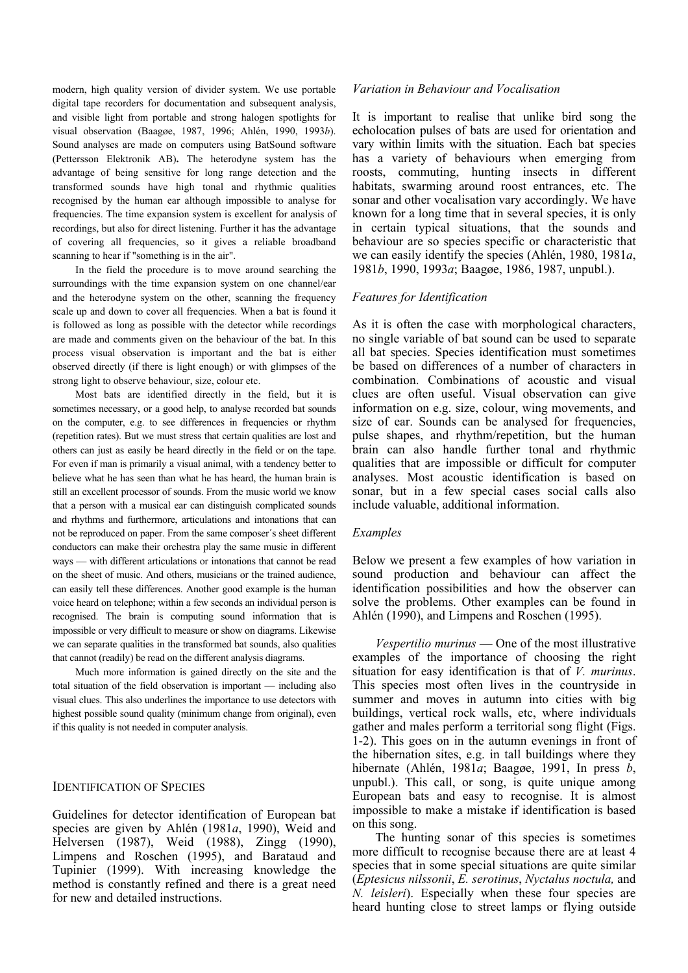modern, high quality version of divider system. We use portable digital tape recorders for documentation and subsequent analysis, and visible light from portable and strong halogen spotlights for visual observation (Baagøe, 1987, 1996; Ahlén, 1990, 1993*b*). Sound analyses are made on computers using BatSound software (Pettersson Elektronik AB)**.** The heterodyne system has the advantage of being sensitive for long range detection and the transformed sounds have high tonal and rhythmic qualities recognised by the human ear although impossible to analyse for frequencies. The time expansion system is excellent for analysis of recordings, but also for direct listening. Further it has the advantage of covering all frequencies, so it gives a reliable broadband scanning to hear if "something is in the air".

In the field the procedure is to move around searching the surroundings with the time expansion system on one channel/ear and the heterodyne system on the other, scanning the frequency scale up and down to cover all frequencies. When a bat is found it is followed as long as possible with the detector while recordings are made and comments given on the behaviour of the bat. In this process visual observation is important and the bat is either observed directly (if there is light enough) or with glimpses of the strong light to observe behaviour, size, colour etc.

 Most bats are identified directly in the field, but it is sometimes necessary, or a good help, to analyse recorded bat sounds on the computer, e.g. to see differences in frequencies or rhythm (repetition rates). But we must stress that certain qualities are lost and others can just as easily be heard directly in the field or on the tape. For even if man is primarily a visual animal, with a tendency better to believe what he has seen than what he has heard, the human brain is still an excellent processor of sounds. From the music world we know that a person with a musical ear can distinguish complicated sounds and rhythms and furthermore, articulations and intonations that can not be reproduced on paper. From the same composer´s sheet different conductors can make their orchestra play the same music in different ways — with different articulations or intonations that cannot be read on the sheet of music. And others, musicians or the trained audience, can easily tell these differences. Another good example is the human voice heard on telephone; within a few seconds an individual person is recognised. The brain is computing sound information that is impossible or very difficult to measure or show on diagrams. Likewise we can separate qualities in the transformed bat sounds, also qualities that cannot (readily) be read on the different analysis diagrams.

Much more information is gained directly on the site and the total situation of the field observation is important — including also visual clues. This also underlines the importance to use detectors with highest possible sound quality (minimum change from original), even if this quality is not needed in computer analysis.

#### IDENTIFICATION OF SPECIES

Guidelines for detector identification of European bat species are given by Ahlén (1981*a*, 1990), Weid and Helversen (1987), Weid (1988), Zingg (1990), Limpens and Roschen (1995), and Barataud and Tupinier (1999). With increasing knowledge the method is constantly refined and there is a great need for new and detailed instructions.

#### *Variation in Behaviour and Vocalisation*

It is important to realise that unlike bird song the echolocation pulses of bats are used for orientation and vary within limits with the situation. Each bat species has a variety of behaviours when emerging from roosts, commuting, hunting insects in different habitats, swarming around roost entrances, etc. The sonar and other vocalisation vary accordingly. We have known for a long time that in several species, it is only in certain typical situations, that the sounds and behaviour are so species specific or characteristic that we can easily identify the species (Ahlén, 1980, 1981*a*, 1981*b*, 1990, 1993*a*; Baagøe, 1986, 1987, unpubl.).

#### *Features for Identification*

As it is often the case with morphological characters, no single variable of bat sound can be used to separate all bat species. Species identification must sometimes be based on differences of a number of characters in combination. Combinations of acoustic and visual clues are often useful. Visual observation can give information on e.g. size, colour, wing movements, and size of ear. Sounds can be analysed for frequencies, pulse shapes, and rhythm/repetition, but the human brain can also handle further tonal and rhythmic qualities that are impossible or difficult for computer analyses. Most acoustic identification is based on sonar, but in a few special cases social calls also include valuable, additional information.

#### *Examples*

Below we present a few examples of how variation in sound production and behaviour can affect the identification possibilities and how the observer can solve the problems. Other examples can be found in Ahlén (1990), and Limpens and Roschen (1995).

*Vespertilio murinus* — One of the most illustrative examples of the importance of choosing the right situation for easy identification is that of *V. murinus*. This species most often lives in the countryside in summer and moves in autumn into cities with big buildings, vertical rock walls, etc, where individuals gather and males perform a territorial song flight (Figs. 1-2). This goes on in the autumn evenings in front of the hibernation sites, e.g. in tall buildings where they hibernate (Ahlén, 1981*a*; Baagøe, 1991, In press *b*, unpubl.). This call, or song, is quite unique among European bats and easy to recognise. It is almost impossible to make a mistake if identification is based on this song.

The hunting sonar of this species is sometimes more difficult to recognise because there are at least 4 species that in some special situations are quite similar (*Eptesicus nilssonii*, *E. serotinus*, *Nyctalus noctula,* and *N. leisleri*). Especially when these four species are heard hunting close to street lamps or flying outside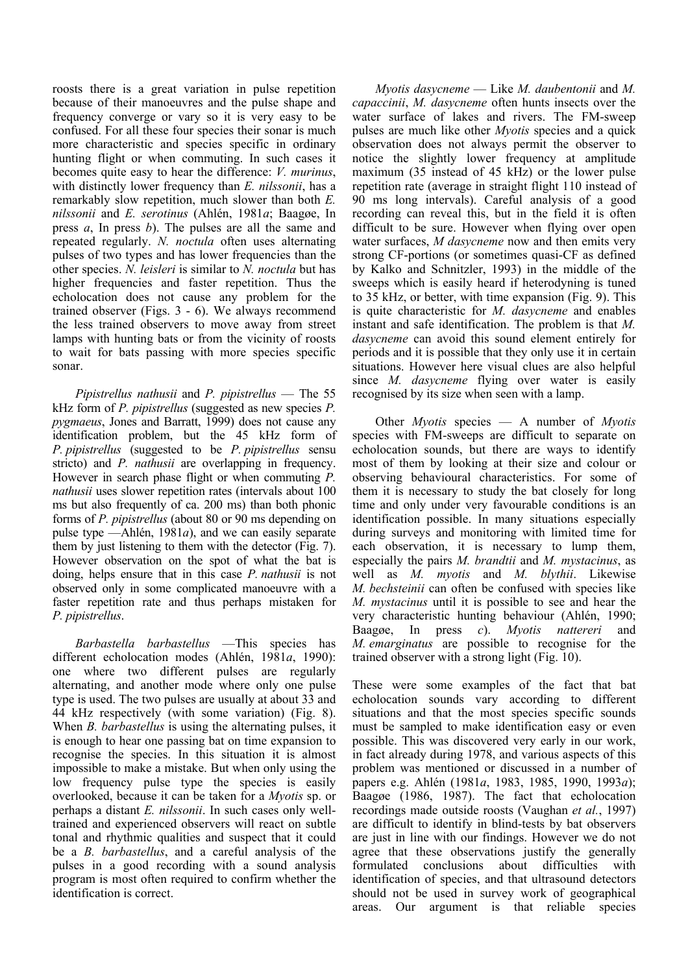roosts there is a great variation in pulse repetition because of their manoeuvres and the pulse shape and frequency converge or vary so it is very easy to be confused. For all these four species their sonar is much more characteristic and species specific in ordinary hunting flight or when commuting. In such cases it becomes quite easy to hear the difference: *V. murinus*, with distinctly lower frequency than *E. nilssonii*, has a remarkably slow repetition, much slower than both *E. nilssonii* and *E. serotinus* (Ahlén, 1981*a*; Baagøe, In press *a*, In press *b*). The pulses are all the same and repeated regularly. *N. noctula* often uses alternating pulses of two types and has lower frequencies than the other species. *N. leisleri* is similar to *N. noctula* but has higher frequencies and faster repetition. Thus the echolocation does not cause any problem for the trained observer (Figs. 3 - 6). We always recommend the less trained observers to move away from street lamps with hunting bats or from the vicinity of roosts to wait for bats passing with more species specific sonar.

*Pipistrellus nathusii* and *P. pipistrellus* — The 55 kHz form of *P. pipistrellus* (suggested as new species *P. pygmaeus*, Jones and Barratt, 1999) does not cause any identification problem, but the 45 kHz form of *P. pipistrellus* (suggested to be *P. pipistrellus* sensu stricto) and *P. nathusii* are overlapping in frequency. However in search phase flight or when commuting *P. nathusii* uses slower repetition rates (intervals about 100 ms but also frequently of ca. 200 ms) than both phonic forms of *P. pipistrellus* (about 80 or 90 ms depending on pulse type —Ahlén, 1981*a*), and we can easily separate them by just listening to them with the detector (Fig. 7). However observation on the spot of what the bat is doing, helps ensure that in this case *P. nathusii* is not observed only in some complicated manoeuvre with a faster repetition rate and thus perhaps mistaken for *P. pipistrellus*.

*Barbastella barbastellus* —This species has different echolocation modes (Ahlén, 1981*a*, 1990): one where two different pulses are regularly alternating, and another mode where only one pulse type is used. The two pulses are usually at about 33 and 44 kHz respectively (with some variation) (Fig. 8). When *B. barbastellus* is using the alternating pulses, it is enough to hear one passing bat on time expansion to recognise the species. In this situation it is almost impossible to make a mistake. But when only using the low frequency pulse type the species is easily overlooked, because it can be taken for a *Myotis* sp. or perhaps a distant *E. nilssonii*. In such cases only welltrained and experienced observers will react on subtle tonal and rhythmic qualities and suspect that it could be a *B. barbastellus*, and a careful analysis of the pulses in a good recording with a sound analysis program is most often required to confirm whether the identification is correct.

*Myotis dasycneme* — Like *M. daubentonii* and *M. capaccinii*, *M. dasycneme* often hunts insects over the water surface of lakes and rivers. The FM-sweep pulses are much like other *Myotis* species and a quick observation does not always permit the observer to notice the slightly lower frequency at amplitude maximum (35 instead of 45 kHz) or the lower pulse repetition rate (average in straight flight 110 instead of 90 ms long intervals). Careful analysis of a good recording can reveal this, but in the field it is often difficult to be sure. However when flying over open water surfaces, *M dasycneme* now and then emits very strong CF-portions (or sometimes quasi-CF as defined by Kalko and Schnitzler, 1993) in the middle of the sweeps which is easily heard if heterodyning is tuned to 35 kHz, or better, with time expansion (Fig. 9). This is quite characteristic for *M. dasycneme* and enables instant and safe identification. The problem is that *M. dasycneme* can avoid this sound element entirely for periods and it is possible that they only use it in certain situations. However here visual clues are also helpful since *M. dasycneme* flying over water is easily recognised by its size when seen with a lamp.

Other *Myotis* species — A number of *Myotis* species with FM-sweeps are difficult to separate on echolocation sounds, but there are ways to identify most of them by looking at their size and colour or observing behavioural characteristics. For some of them it is necessary to study the bat closely for long time and only under very favourable conditions is an identification possible. In many situations especially during surveys and monitoring with limited time for each observation, it is necessary to lump them, especially the pairs *M. brandtii* and *M. mystacinus*, as well as *M. myotis* and *M. blythii*. Likewise *M. bechsteinii* can often be confused with species like *M. mystacinus* until it is possible to see and hear the very characteristic hunting behaviour (Ahlén, 1990; Baagøe, In press *c*). *Myotis nattereri* and *M. emarginatus* are possible to recognise for the trained observer with a strong light (Fig. 10).

These were some examples of the fact that bat echolocation sounds vary according to different situations and that the most species specific sounds must be sampled to make identification easy or even possible. This was discovered very early in our work, in fact already during 1978, and various aspects of this problem was mentioned or discussed in a number of papers e.g. Ahlén (1981*a*, 1983, 1985, 1990, 1993*a*); Baagøe (1986, 1987). The fact that echolocation recordings made outside roosts (Vaughan *et al.*, 1997) are difficult to identify in blind-tests by bat observers are just in line with our findings. However we do not agree that these observations justify the generally formulated conclusions about difficulties with identification of species, and that ultrasound detectors should not be used in survey work of geographical areas. Our argument is that reliable species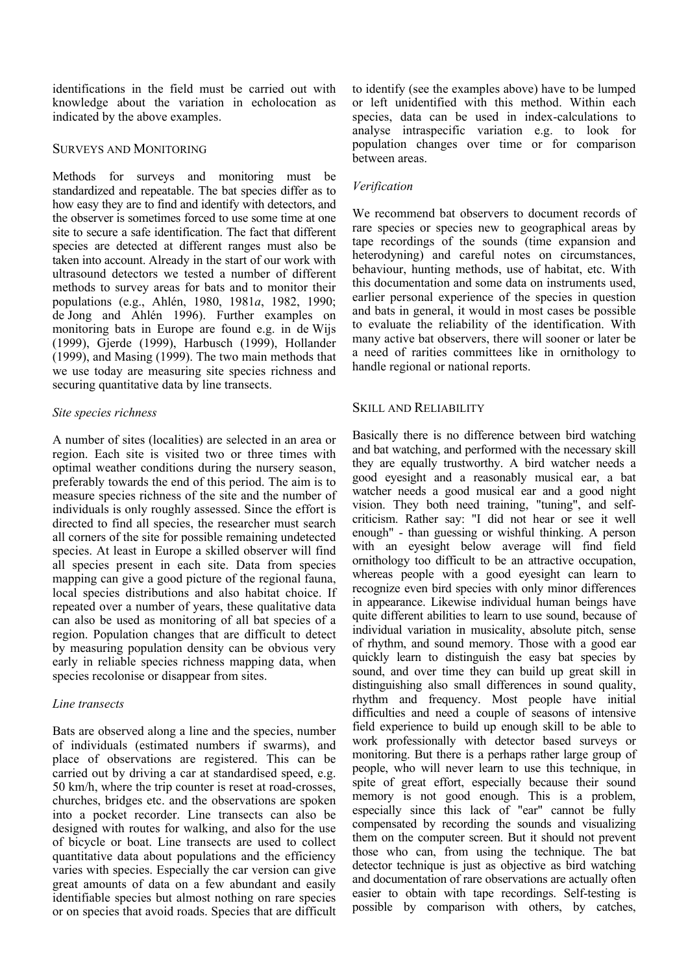identifications in the field must be carried out with knowledge about the variation in echolocation as indicated by the above examples.

### SURVEYS AND MONITORING

Methods for surveys and monitoring must be standardized and repeatable. The bat species differ as to how easy they are to find and identify with detectors, and the observer is sometimes forced to use some time at one site to secure a safe identification. The fact that different species are detected at different ranges must also be taken into account. Already in the start of our work with ultrasound detectors we tested a number of different methods to survey areas for bats and to monitor their populations (e.g., Ahlén, 1980, 1981*a*, 1982, 1990; de Jong and Ahlén 1996). Further examples on monitoring bats in Europe are found e.g. in de Wijs (1999), Gjerde (1999), Harbusch (1999), Hollander (1999), and Masing (1999). The two main methods that we use today are measuring site species richness and securing quantitative data by line transects.

### *Site species richness*

A number of sites (localities) are selected in an area or region. Each site is visited two or three times with optimal weather conditions during the nursery season, preferably towards the end of this period. The aim is to measure species richness of the site and the number of individuals is only roughly assessed. Since the effort is directed to find all species, the researcher must search all corners of the site for possible remaining undetected species. At least in Europe a skilled observer will find all species present in each site. Data from species mapping can give a good picture of the regional fauna, local species distributions and also habitat choice. If repeated over a number of years, these qualitative data can also be used as monitoring of all bat species of a region. Population changes that are difficult to detect by measuring population density can be obvious very early in reliable species richness mapping data, when species recolonise or disappear from sites.

# *Line transects*

Bats are observed along a line and the species, number of individuals (estimated numbers if swarms), and place of observations are registered. This can be carried out by driving a car at standardised speed, e.g. 50 km/h, where the trip counter is reset at road-crosses, churches, bridges etc. and the observations are spoken into a pocket recorder. Line transects can also be designed with routes for walking, and also for the use of bicycle or boat. Line transects are used to collect quantitative data about populations and the efficiency varies with species. Especially the car version can give great amounts of data on a few abundant and easily identifiable species but almost nothing on rare species or on species that avoid roads. Species that are difficult

to identify (see the examples above) have to be lumped or left unidentified with this method. Within each species, data can be used in index-calculations to analyse intraspecific variation e.g. to look for population changes over time or for comparison between areas.

# *Verification*

We recommend bat observers to document records of rare species or species new to geographical areas by tape recordings of the sounds (time expansion and heterodyning) and careful notes on circumstances, behaviour, hunting methods, use of habitat, etc. With this documentation and some data on instruments used, earlier personal experience of the species in question and bats in general, it would in most cases be possible to evaluate the reliability of the identification. With many active bat observers, there will sooner or later be a need of rarities committees like in ornithology to handle regional or national reports.

# SKILL AND RELIABILITY

Basically there is no difference between bird watching and bat watching, and performed with the necessary skill they are equally trustworthy. A bird watcher needs a good eyesight and a reasonably musical ear, a bat watcher needs a good musical ear and a good night vision. They both need training, "tuning", and selfcriticism. Rather say: "I did not hear or see it well enough" - than guessing or wishful thinking. A person with an eyesight below average will find field ornithology too difficult to be an attractive occupation, whereas people with a good eyesight can learn to recognize even bird species with only minor differences in appearance. Likewise individual human beings have quite different abilities to learn to use sound, because of individual variation in musicality, absolute pitch, sense of rhythm, and sound memory. Those with a good ear quickly learn to distinguish the easy bat species by sound, and over time they can build up great skill in distinguishing also small differences in sound quality, rhythm and frequency. Most people have initial difficulties and need a couple of seasons of intensive field experience to build up enough skill to be able to work professionally with detector based surveys or monitoring. But there is a perhaps rather large group of people, who will never learn to use this technique, in spite of great effort, especially because their sound memory is not good enough. This is a problem, especially since this lack of "ear" cannot be fully compensated by recording the sounds and visualizing them on the computer screen. But it should not prevent those who can, from using the technique. The bat detector technique is just as objective as bird watching and documentation of rare observations are actually often easier to obtain with tape recordings. Self-testing is possible by comparison with others, by catches,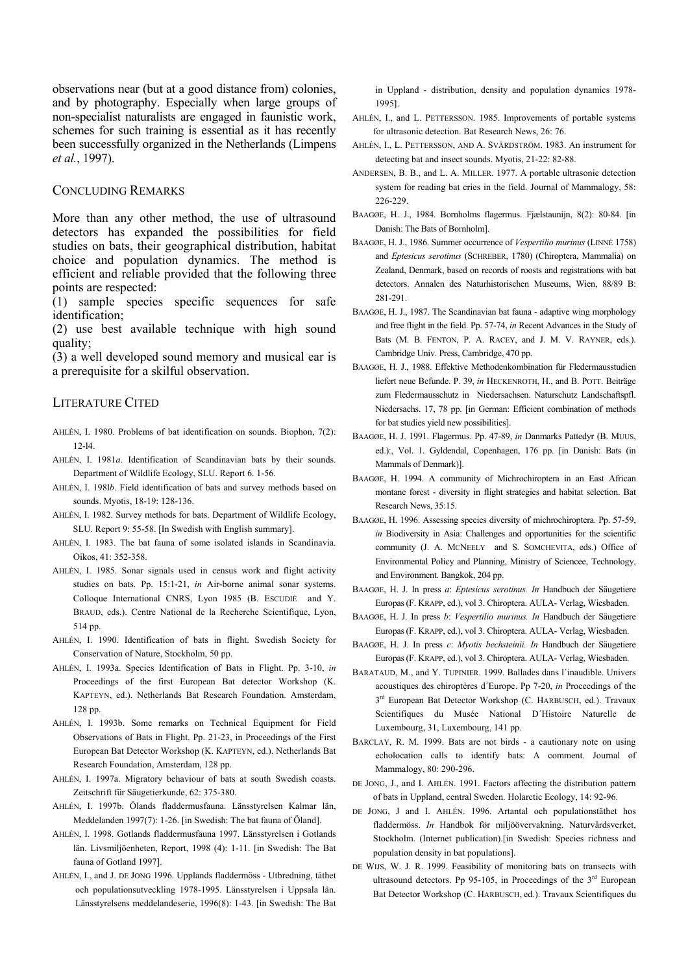observations near (but at a good distance from) colonies, and by photography. Especially when large groups of non-specialist naturalists are engaged in faunistic work, schemes for such training is essential as it has recently been successfully organized in the Netherlands (Limpens *et al.*, 1997).

#### CONCLUDING REMARKS

More than any other method, the use of ultrasound detectors has expanded the possibilities for field studies on bats, their geographical distribution, habitat choice and population dynamics. The method is efficient and reliable provided that the following three points are respected:

(1) sample species specific sequences for safe identification;

(2) use best available technique with high sound quality;

(3) a well developed sound memory and musical ear is a prerequisite for a skilful observation.

### LITERATURE CITED

- AHLÉN, I. 1980. Problems of bat identification on sounds. Biophon, 7(2): 12-l4.
- AHLÉN, I. 1981*a*. Identification of Scandinavian bats by their sounds. Department of Wildlife Ecology, SLU. Report 6. 1-56.
- AHLÉN, I. 198l*b*. Field identification of bats and survey methods based on sounds. Myotis, 18-19: 128-136.
- AHLÉN, I. 1982. Survey methods for bats. Department of Wildlife Ecology, SLU. Report 9: 55-58. [In Swedish with English summary].
- AHLÉN, I. 1983. The bat fauna of some isolated islands in Scandinavia. Oikos, 41: 352-358.
- AHLÉN, I. 1985. Sonar signals used in census work and flight activity studies on bats. Pp. 15:1-21, *in* Air-borne animal sonar systems. Colloque International CNRS, Lyon 1985 (B. ESCUDIÉ and Y. BRAUD, eds.). Centre National de la Recherche Scientifique, Lyon, 514 pp.
- AHLÉN, I. 1990. Identification of bats in flight. Swedish Society for Conservation of Nature, Stockholm, 50 pp.
- AHLÉN, I. 1993a. Species Identification of Bats in Flight. Pp. 3-10, *in* Proceedings of the first European Bat detector Workshop (K. KAPTEYN, ed.). Netherlands Bat Research Foundation. Amsterdam, 128 pp.
- AHLÉN, I. 1993b. Some remarks on Technical Equipment for Field Observations of Bats in Flight. Pp. 21-23, in Proceedings of the First European Bat Detector Workshop (K. KAPTEYN, ed.). Netherlands Bat Research Foundation, Amsterdam, 128 pp.
- AHLÉN, I. 1997a. Migratory behaviour of bats at south Swedish coasts. Zeitschrift für Säugetierkunde, 62: 375-380.
- AHLÉN, I. 1997b. Ölands fladdermusfauna. Länsstyrelsen Kalmar län, Meddelanden 1997(7): 1-26. [in Swedish: The bat fauna of Öland].
- AHLÉN, I. 1998. Gotlands fladdermusfauna 1997. Länsstyrelsen i Gotlands län. Livsmiljöenheten, Report, 1998 (4): 1-11. [in Swedish: The Bat fauna of Gotland 1997].
- AHLÉN, I., and J. DE JONG 1996. Upplands fladdermöss Utbredning, täthet och populationsutveckling 1978-1995. Länsstyrelsen i Uppsala län. Länsstyrelsens meddelandeserie, 1996(8): 1-43. [in Swedish: The Bat

in Uppland - distribution, density and population dynamics 1978- 1995].

- AHLÉN, I., and L. PETTERSSON. 1985. Improvements of portable systems for ultrasonic detection. Bat Research News, 26: 76.
- AHLÉN, I., L. PETTERSSON, AND A. SVÄRDSTRÖM. 1983. An instrument for detecting bat and insect sounds. Myotis, 21-22: 82-88.
- ANDERSEN, B. B., and L. A. MILLER. 1977. A portable ultrasonic detection system for reading bat cries in the field. Journal of Mammalogy, 58: 226-229
- BAAGØE, H. J., 1984. Bornholms flagermus. Fiælstaunijn, 8(2): 80-84. [in] Danish: The Bats of Bornholm].
- BAAGØE, H. J., 1986. Summer occurrence of *Vespertilio murinus* (LINNÉ 1758) and *Eptesicus serotinus* (SCHREBER, 1780) (Chiroptera, Mammalia) on Zealand, Denmark, based on records of roosts and registrations with bat detectors. Annalen des Naturhistorischen Museums, Wien, 88/89 B: 281-291.
- BAAGØE, H. J., 1987. The Scandinavian bat fauna adaptive wing morphology and free flight in the field. Pp. 57-74, *in* Recent Advances in the Study of Bats (M. B. FENTON, P. A. RACEY, and J. M. V. RAYNER, eds.). Cambridge Univ. Press, Cambridge, 470 pp.
- BAAGØE, H. J., 1988. Effektive Methodenkombination für Fledermausstudien liefert neue Befunde. P. 39, *in* HECKENROTH, H., and B. POTT. Beiträge zum Fledermausschutz in Niedersachsen. Naturschutz Landschaftspfl. Niedersachs. 17, 78 pp. [in German: Efficient combination of methods for bat studies yield new possibilities].
- BAAGØE, H. J. 1991. Flagermus. Pp. 47-89, *in* Danmarks Pattedyr (B. MUUS, ed.):, Vol. 1. Gyldendal, Copenhagen, 176 pp. [in Danish: Bats (in Mammals of Denmark)].
- BAAGØE, H. 1994. A community of Michrochiroptera in an East African montane forest - diversity in flight strategies and habitat selection. Bat Research News, 35:15.
- BAAGØE, H. 1996. Assessing species diversity of michrochiroptera. Pp. 57-59, *in* Biodiversity in Asia: Challenges and opportunities for the scientific community (J. A. MCNEELY and S. SOMCHEVITA, eds.) Office of Environmental Policy and Planning, Ministry of Sciencee, Technology, and Environment. Bangkok, 204 pp.
- BAAGØE, H. J. In press *a*: *Eptesicus serotinus. In* Handbuch der Säugetiere Europas(F. KRAPP, ed.), vol 3. Chiroptera. AULA- Verlag, Wiesbaden.
- BAAGØE, H. J. In press *b*: *Vespertilio murinus. In* Handbuch der Säugetiere Europas(F. KRAPP, ed.), vol 3. Chiroptera. AULA- Verlag, Wiesbaden.
- BAAGØE, H. J. In press *c*: *Myotis bechsteinii. In* Handbuch der Säugetiere Europas(F. KRAPP, ed.), vol 3. Chiroptera. AULA- Verlag, Wiesbaden.
- BARATAUD, M., and Y. TUPINIER. 1999. Ballades dans l´inaudible. Univers acoustiques des chiroptères d´Europe. Pp 7-20, *in* Proceedings of the 3<sup>rd</sup> European Bat Detector Workshop (C. HARBUSCH, ed.). Travaux Scientifiques du Musée National D´Histoire Naturelle de Luxembourg, 31, Luxembourg, 141 pp.
- BARCLAY, R. M. 1999. Bats are not birds a cautionary note on using echolocation calls to identify bats: A comment. Journal of Mammalogy, 80: 290-296.
- DE JONG, J., and I. AHLÉN. 1991. Factors affecting the distribution pattern of bats in Uppland, central Sweden. Holarctic Ecology, 14: 92-96.
- DE JONG, J and I. AHLÉN. 1996. Artantal och populationstäthet hos fladdermöss. *In* Handbok för miljöövervakning. Naturvårdsverket, Stockholm. (Internet publication).[in Swedish: Species richness and population density in bat populations].
- DE WIJS, W. J. R. 1999. Feasibility of monitoring bats on transects with ultrasound detectors. Pp 95-105, in Proceedings of the 3<sup>rd</sup> European Bat Detector Workshop (C. HARBUSCH, ed.). Travaux Scientifiques du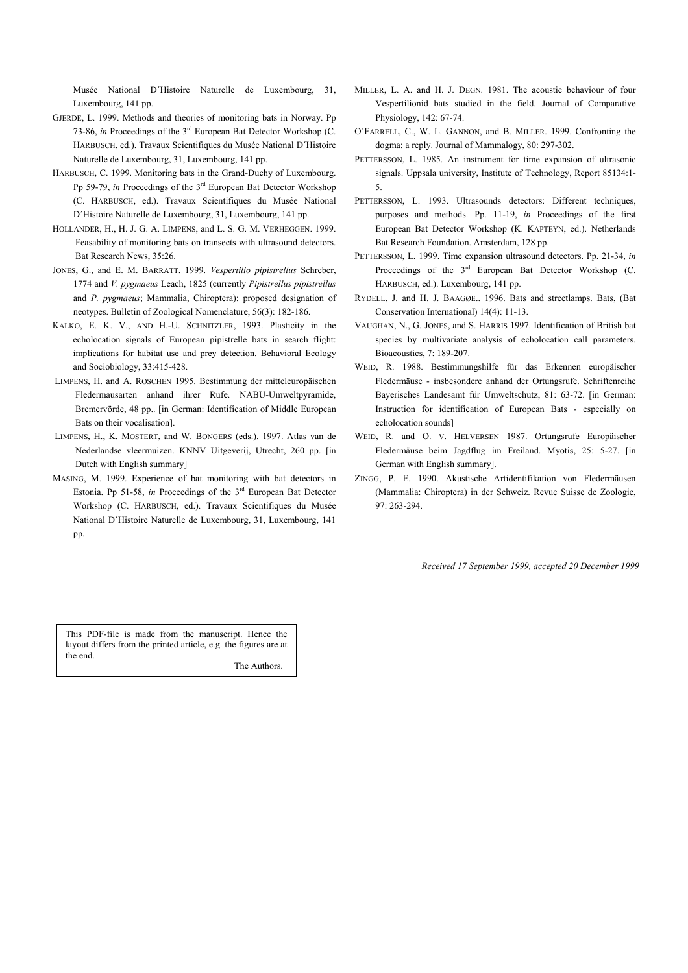Musée National D´Histoire Naturelle de Luxembourg, 31, Luxembourg, 141 pp.

- GJERDE, L. 1999. Methods and theories of monitoring bats in Norway. Pp 73-86, *in* Proceedings of the 3rd European Bat Detector Workshop (C. HARBUSCH, ed.). Travaux Scientifiques du Musée National D´Histoire Naturelle de Luxembourg, 31, Luxembourg, 141 pp.
- HARBUSCH, C. 1999. Monitoring bats in the Grand-Duchy of Luxembourg. Pp 59-79, *in* Proceedings of the 3rd European Bat Detector Workshop (C. HARBUSCH, ed.). Travaux Scientifiques du Musée National D´Histoire Naturelle de Luxembourg, 31, Luxembourg, 141 pp.
- HOLLANDER, H., H. J. G. A. LIMPENS, and L. S. G. M. VERHEGGEN. 1999. Feasability of monitoring bats on transects with ultrasound detectors. Bat Research News, 35:26.
- JONES, G., and E. M. BARRATT. 1999. *Vespertilio pipistrellus* Schreber, 1774 and *V. pygmaeus* Leach, 1825 (currently *Pipistrellus pipistrellus* and *P. pygmaeus*; Mammalia, Chiroptera): proposed designation of neotypes. Bulletin of Zoological Nomenclature, 56(3): 182-186.
- KALKO, E. K. V., AND H.-U. SCHNITZLER, 1993. Plasticity in the echolocation signals of European pipistrelle bats in search flight: implications for habitat use and prey detection. Behavioral Ecology and Sociobiology, 33:415-428.
- LIMPENS, H. and A. ROSCHEN 1995. Bestimmung der mitteleuropäischen Fledermausarten anhand ihrer Rufe. NABU-Umweltpyramide, Bremervörde, 48 pp.. [in German: Identification of Middle European Bats on their vocalisation].
- LIMPENS, H., K. MOSTERT, and W. BONGERS (eds.). 1997. Atlas van de Nederlandse vleermuizen. KNNV Uitgeverij, Utrecht, 260 pp. [in Dutch with English summary]
- MASING, M. 1999. Experience of bat monitoring with bat detectors in Estonia. Pp 51-58, *in* Proceedings of the 3<sup>rd</sup> European Bat Detector Workshop (C. HARBUSCH, ed.). Travaux Scientifiques du Musée National D´Histoire Naturelle de Luxembourg, 31, Luxembourg, 141 pp.
- MILLER, L. A. and H. J. DEGN. 1981. The acoustic behaviour of four Vespertilionid bats studied in the field. Journal of Comparative Physiology, 142: 67-74.
- O´FARRELL, C., W. L. GANNON, and B. MILLER. 1999. Confronting the dogma: a reply. Journal of Mammalogy, 80: 297-302.
- PETTERSSON, L. 1985. An instrument for time expansion of ultrasonic signals. Uppsala university, Institute of Technology, Report 85134:1- 5.
- PETTERSSON, L. 1993. Ultrasounds detectors: Different techniques, purposes and methods. Pp. 11-19, *in* Proceedings of the first European Bat Detector Workshop (K. KAPTEYN, ed.). Netherlands Bat Research Foundation. Amsterdam, 128 pp.
- PETTERSSON, L. 1999. Time expansion ultrasound detectors. Pp. 21-34, *in* Proceedings of the 3<sup>rd</sup> European Bat Detector Workshop (C. HARBUSCH, ed.). Luxembourg, 141 pp.
- RYDELL, J. and H. J. BAAGØE.. 1996. Bats and streetlamps. Bats, (Bat Conservation International) 14(4): 11-13.
- VAUGHAN, N., G. JONES, and S. HARRIS 1997. Identification of British bat species by multivariate analysis of echolocation call parameters. Bioacoustics, 7: 189-207.
- WEID, R. 1988. Bestimmungshilfe für das Erkennen europäischer Fledermäuse - insbesondere anhand der Ortungsrufe. Schriftenreihe Bayerisches Landesamt für Umweltschutz, 81: 63-72. [in German: Instruction for identification of European Bats - especially on echolocation sounds]
- WEID, R. and O. V. HELVERSEN 1987. Ortungsrufe Europäischer Fledermäuse beim Jagdflug im Freiland. Myotis, 25: 5-27. [in German with English summary].
- ZINGG, P. E. 1990. Akustische Artidentifikation von Fledermäusen (Mammalia: Chiroptera) in der Schweiz. Revue Suisse de Zoologie, 97: 263-294.

*Received 17 September 1999, accepted 20 December 1999* 

This PDF-file is made from the manuscript. Hence the layout differs from the printed article, e.g. the figures are at the end.

The Authors.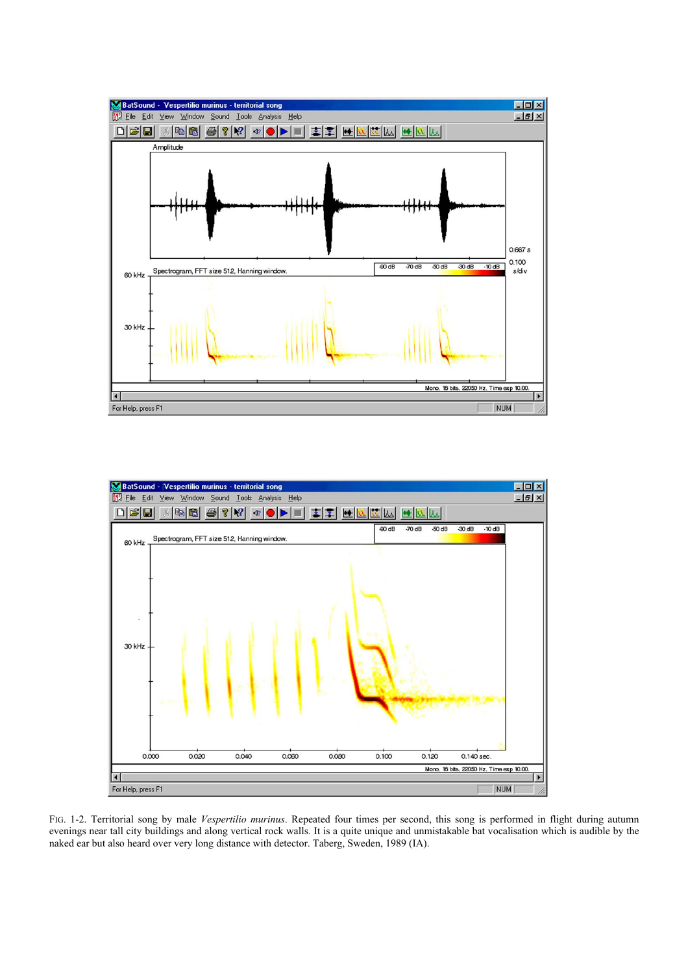



FIG. 1-2. Territorial song by male *Vespertilio murinus*. Repeated four times per second, this song is performed in flight during autumn evenings near tall city buildings and along vertical rock walls. It is a quite unique and unmistakable bat vocalisation which is audible by the naked ear but also heard over very long distance with detector. Taberg, Sweden, 1989 (IA).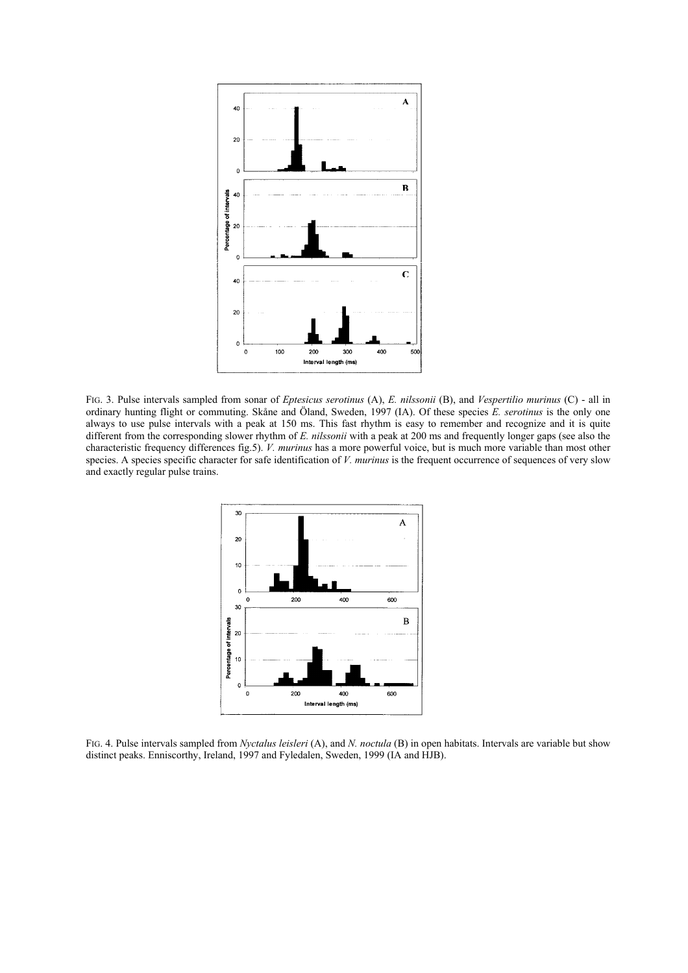

FIG. 3. Pulse intervals sampled from sonar of *Eptesicus serotinus* (A), *E. nilssonii* (B), and *Vespertilio murinus* (C) - all in ordinary hunting flight or commuting. Skåne and Öland, Sweden, 1997 (IA). Of these species *E. serotinus* is the only one always to use pulse intervals with a peak at 150 ms. This fast rhythm is easy to remember and recognize and it is quite different from the corresponding slower rhythm of *E. nilssonii* with a peak at 200 ms and frequently longer gaps (see also the characteristic frequency differences fig.5). *V. murinus* has a more powerful voice, but is much more variable than most other species. A species specific character for safe identification of *V. murinus* is the frequent occurrence of sequences of very slow and exactly regular pulse trains.



FIG. 4. Pulse intervals sampled from *Nyctalus leisleri* (A), and *N. noctula* (B) in open habitats. Intervals are variable but show distinct peaks. Enniscorthy, Ireland, 1997 and Fyledalen, Sweden, 1999 (IA and HJB).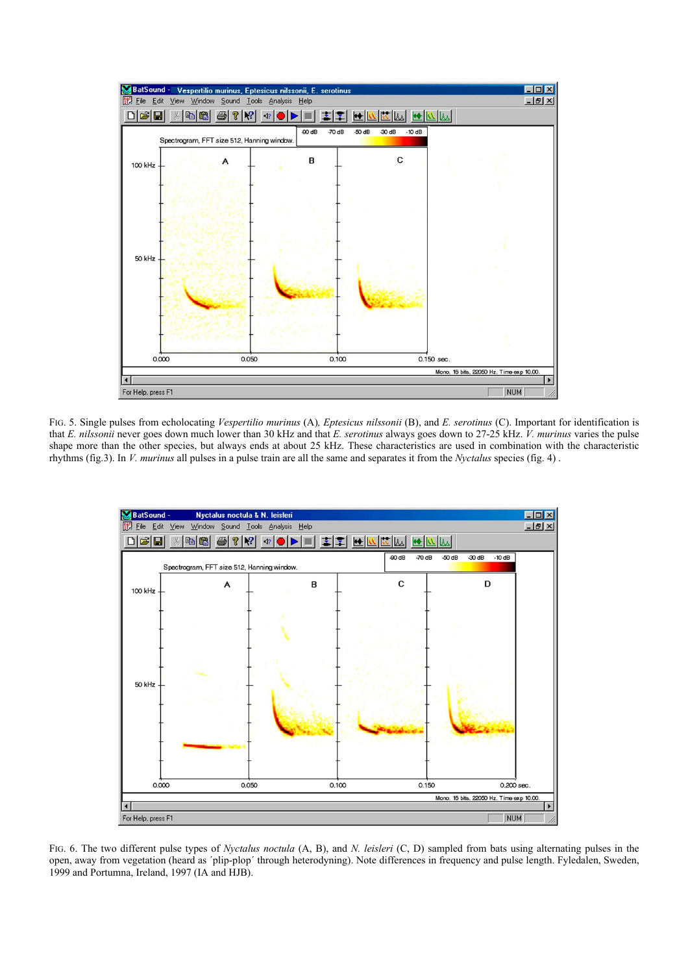

FIG. 5. Single pulses from echolocating *Vespertilio murinus* (A)*, Eptesicus nilssonii* (B), and *E. serotinus* (C). Important for identification is that *E. nilssonii* never goes down much lower than 30 kHz and that *E. serotinus* always goes down to 27-25 kHz. *V. murinus* varies the pulse shape more than the other species, but always ends at about 25 kHz. These characteristics are used in combination with the characteristic rhythms (fig.3). In *V. murinus* all pulses in a pulse train are all the same and separates it from the *Nyctalus* species (fig. 4) .



FIG. 6. The two different pulse types of *Nyctalus noctula* (A, B), and *N. leisleri* (C, D) sampled from bats using alternating pulses in the open, away from vegetation (heard as ´plip-plop´ through heterodyning). Note differences in frequency and pulse length. Fyledalen, Sweden, 1999 and Portumna, Ireland, 1997 (IA and HJB).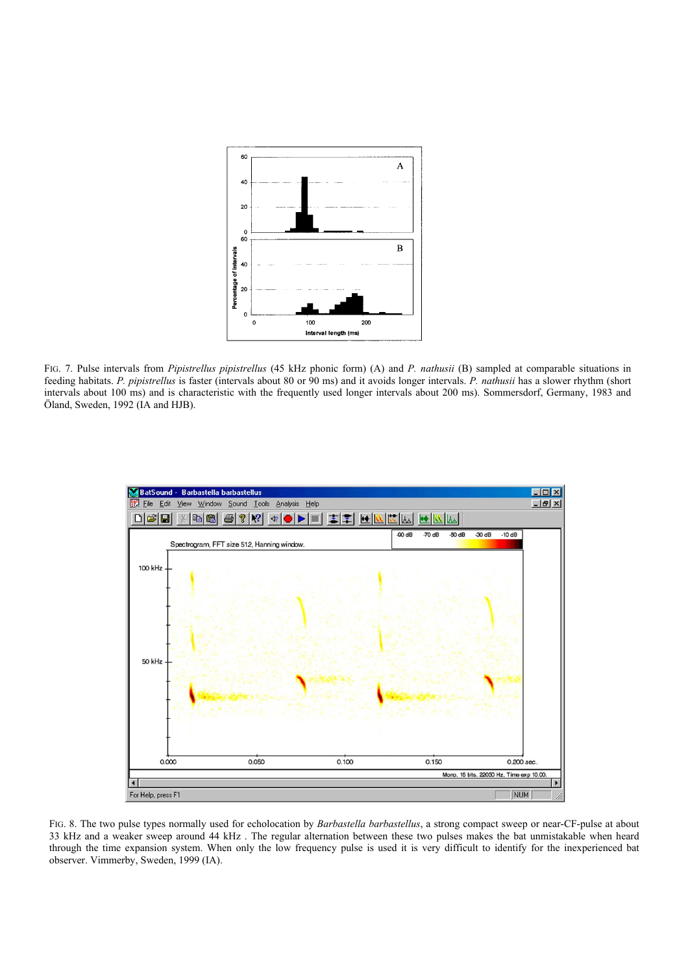

FIG. 7. Pulse intervals from *Pipistrellus pipistrellus* (45 kHz phonic form) (A) and *P. nathusii* (B) sampled at comparable situations in feeding habitats. *P. pipistrellus* is faster (intervals about 80 or 90 ms) and it avoids longer intervals. *P. nathusii* has a slower rhythm (short intervals about 100 ms) and is characteristic with the frequently used longer intervals about 200 ms). Sommersdorf, Germany, 1983 and Öland, Sweden, 1992 (IA and HJB).



FIG. 8. The two pulse types normally used for echolocation by *Barbastella barbastellus*, a strong compact sweep or near-CF-pulse at about 33 kHz and a weaker sweep around 44 kHz . The regular alternation between these two pulses makes the bat unmistakable when heard through the time expansion system. When only the low frequency pulse is used it is very difficult to identify for the inexperienced bat observer. Vimmerby, Sweden, 1999 (IA).